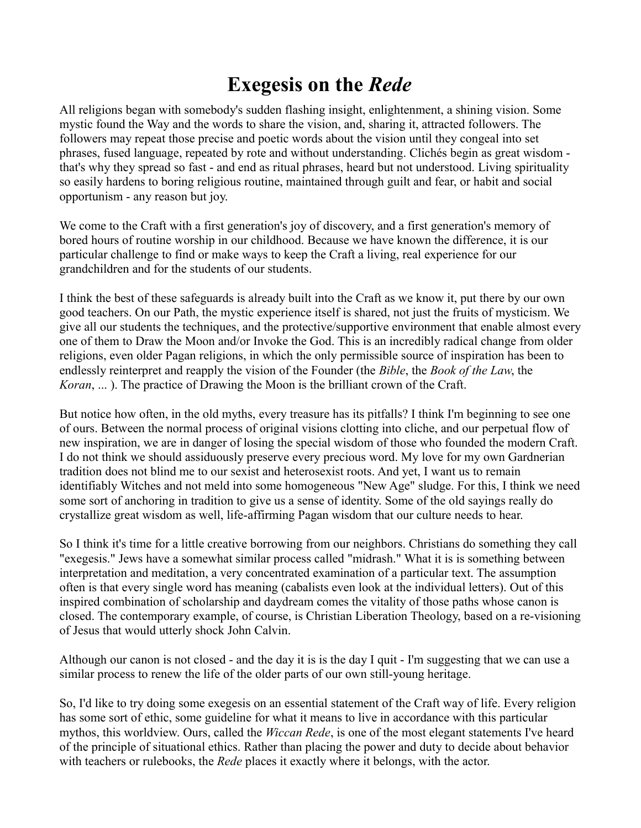## **Exegesis on the** *Rede*

All religions began with somebody's sudden flashing insight, enlightenment, a shining vision. Some mystic found the Way and the words to share the vision, and, sharing it, attracted followers. The followers may repeat those precise and poetic words about the vision until they congeal into set phrases, fused language, repeated by rote and without understanding. Clichés begin as great wisdom that's why they spread so fast - and end as ritual phrases, heard but not understood. Living spirituality so easily hardens to boring religious routine, maintained through guilt and fear, or habit and social opportunism - any reason but joy.

We come to the Craft with a first generation's joy of discovery, and a first generation's memory of bored hours of routine worship in our childhood. Because we have known the difference, it is our particular challenge to find or make ways to keep the Craft a living, real experience for our grandchildren and for the students of our students.

I think the best of these safeguards is already built into the Craft as we know it, put there by our own good teachers. On our Path, the mystic experience itself is shared, not just the fruits of mysticism. We give all our students the techniques, and the protective/supportive environment that enable almost every one of them to Draw the Moon and/or Invoke the God. This is an incredibly radical change from older religions, even older Pagan religions, in which the only permissible source of inspiration has been to endlessly reinterpret and reapply the vision of the Founder (the *Bible*, the *Book of the Law*, the *Koran*, ... ). The practice of Drawing the Moon is the brilliant crown of the Craft.

But notice how often, in the old myths, every treasure has its pitfalls? I think I'm beginning to see one of ours. Between the normal process of original visions clotting into cliche, and our perpetual flow of new inspiration, we are in danger of losing the special wisdom of those who founded the modern Craft. I do not think we should assiduously preserve every precious word. My love for my own Gardnerian tradition does not blind me to our sexist and heterosexist roots. And yet, I want us to remain identifiably Witches and not meld into some homogeneous "New Age" sludge. For this, I think we need some sort of anchoring in tradition to give us a sense of identity. Some of the old sayings really do crystallize great wisdom as well, life-affirming Pagan wisdom that our culture needs to hear.

So I think it's time for a little creative borrowing from our neighbors. Christians do something they call "exegesis." Jews have a somewhat similar process called "midrash." What it is is something between interpretation and meditation, a very concentrated examination of a particular text. The assumption often is that every single word has meaning (cabalists even look at the individual letters). Out of this inspired combination of scholarship and daydream comes the vitality of those paths whose canon is closed. The contemporary example, of course, is Christian Liberation Theology, based on a re-visioning of Jesus that would utterly shock John Calvin.

Although our canon is not closed - and the day it is is the day I quit - I'm suggesting that we can use a similar process to renew the life of the older parts of our own still-young heritage.

So, I'd like to try doing some exegesis on an essential statement of the Craft way of life. Every religion has some sort of ethic, some guideline for what it means to live in accordance with this particular mythos, this worldview. Ours, called the *Wiccan Rede*, is one of the most elegant statements I've heard of the principle of situational ethics. Rather than placing the power and duty to decide about behavior with teachers or rulebooks, the *Rede* places it exactly where it belongs, with the actor.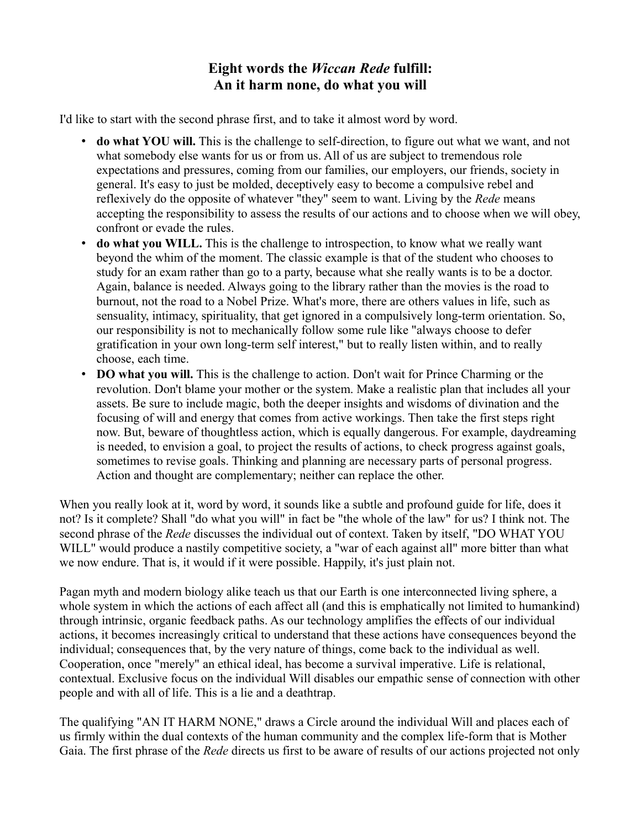## **Eight words the** *Wiccan Rede* **fulfill: An it harm none, do what you will**

I'd like to start with the second phrase first, and to take it almost word by word.

- **do what YOU will.** This is the challenge to self-direction, to figure out what we want, and not what somebody else wants for us or from us. All of us are subject to tremendous role expectations and pressures, coming from our families, our employers, our friends, society in general. It's easy to just be molded, deceptively easy to become a compulsive rebel and reflexively do the opposite of whatever "they" seem to want. Living by the *Rede* means accepting the responsibility to assess the results of our actions and to choose when we will obey, confront or evade the rules.
- **do what you WILL.** This is the challenge to introspection, to know what we really want beyond the whim of the moment. The classic example is that of the student who chooses to study for an exam rather than go to a party, because what she really wants is to be a doctor. Again, balance is needed. Always going to the library rather than the movies is the road to burnout, not the road to a Nobel Prize. What's more, there are others values in life, such as sensuality, intimacy, spirituality, that get ignored in a compulsively long-term orientation. So, our responsibility is not to mechanically follow some rule like "always choose to defer gratification in your own long-term self interest," but to really listen within, and to really choose, each time.
- **DO what you will.** This is the challenge to action. Don't wait for Prince Charming or the revolution. Don't blame your mother or the system. Make a realistic plan that includes all your assets. Be sure to include magic, both the deeper insights and wisdoms of divination and the focusing of will and energy that comes from active workings. Then take the first steps right now. But, beware of thoughtless action, which is equally dangerous. For example, daydreaming is needed, to envision a goal, to project the results of actions, to check progress against goals, sometimes to revise goals. Thinking and planning are necessary parts of personal progress. Action and thought are complementary; neither can replace the other.

When you really look at it, word by word, it sounds like a subtle and profound guide for life, does it not? Is it complete? Shall "do what you will" in fact be "the whole of the law" for us? I think not. The second phrase of the *Rede* discusses the individual out of context. Taken by itself, "DO WHAT YOU WILL" would produce a nastily competitive society, a "war of each against all" more bitter than what we now endure. That is, it would if it were possible. Happily, it's just plain not.

Pagan myth and modern biology alike teach us that our Earth is one interconnected living sphere, a whole system in which the actions of each affect all (and this is emphatically not limited to humankind) through intrinsic, organic feedback paths. As our technology amplifies the effects of our individual actions, it becomes increasingly critical to understand that these actions have consequences beyond the individual; consequences that, by the very nature of things, come back to the individual as well. Cooperation, once "merely" an ethical ideal, has become a survival imperative. Life is relational, contextual. Exclusive focus on the individual Will disables our empathic sense of connection with other people and with all of life. This is a lie and a deathtrap.

The qualifying "AN IT HARM NONE," draws a Circle around the individual Will and places each of us firmly within the dual contexts of the human community and the complex life-form that is Mother Gaia. The first phrase of the *Rede* directs us first to be aware of results of our actions projected not only